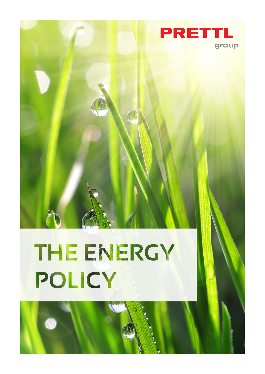

## THE ENERGY POLICY